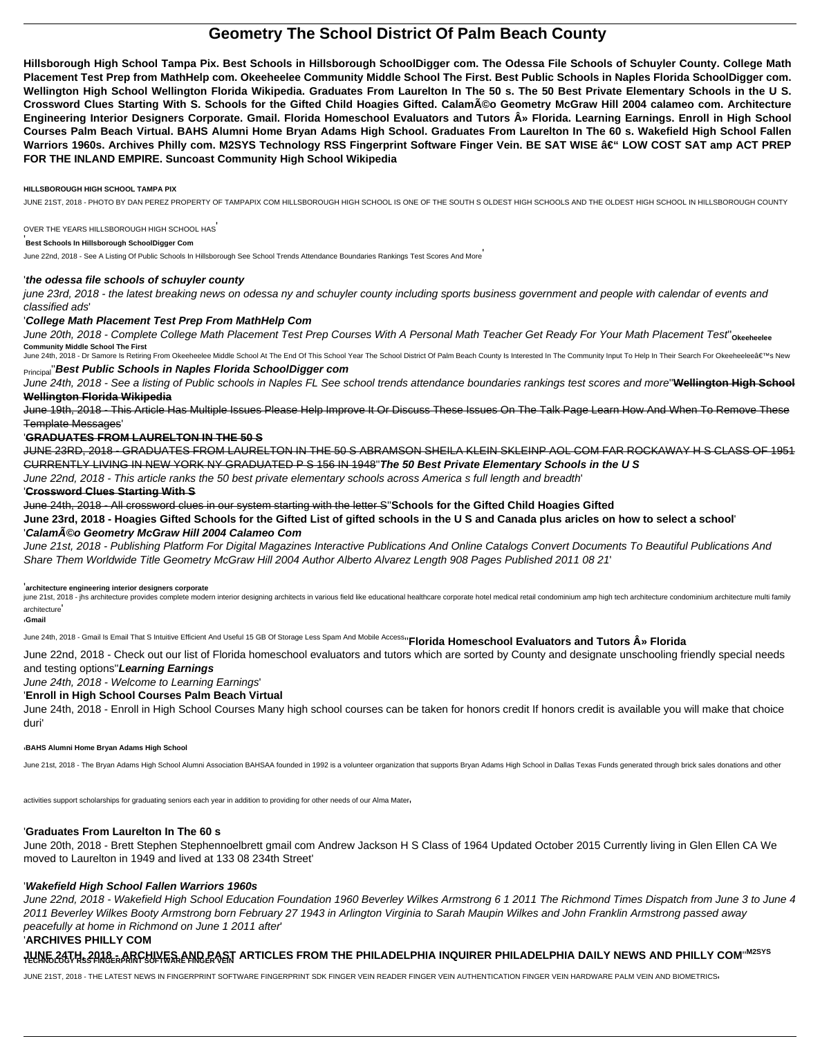# **Geometry The School District Of Palm Beach County**

**Hillsborough High School Tampa Pix. Best Schools in Hillsborough SchoolDigger com. The Odessa File Schools of Schuyler County. College Math Placement Test Prep from MathHelp com. Okeeheelee Community Middle School The First. Best Public Schools in Naples Florida SchoolDigger com. Wellington High School Wellington Florida Wikipedia. Graduates From Laurelton In The 50 s. The 50 Best Private Elementary Schools in the U S. Crossword Clues Starting With S. Schools for the Gifted Child Hoagies Gifted. Calaméo Geometry McGraw Hill 2004 calameo com. Architecture** Engineering Interior Designers Corporate. Gmail. Florida Homeschool Evaluators and Tutors  $\hat{A}$ » Florida. Learning Earnings. Enroll in High School **Courses Palm Beach Virtual. BAHS Alumni Home Bryan Adams High School. Graduates From Laurelton In The 60 s. Wakefield High School Fallen** Warriors 1960s. Archives Philly com. M2SYS Technology RSS Fingerprint Software Finger Vein. BE SAT WISE – LOW COST SAT amp ACT PREP **FOR THE INLAND EMPIRE. Suncoast Community High School Wikipedia**

#### **HILLSBOROUGH HIGH SCHOOL TAMPA PIX**

JUNE 21ST, 2018 - PHOTO BY DAN PEREZ PROPERTY OF TAMPAPIX COM HILLSBOROUGH HIGH SCHOOL IS ONE OF THE SOUTH S OLDEST HIGH SCHOOLS AND THE OLDEST HIGH SCHOOL IN HILLSBOROUGH COUNTY

#### OVER THE YEARS HILLSBOROUGH HIGH SCHOOL HAS'

#### '**Best Schools In Hillsborough SchoolDigger Com**

June 22nd, 2018 - See A Listing Of Public Schools In Hillsborough See School Trends Attendance Boundaries Rankings Test Scores And More'

### '**the odessa file schools of schuyler county**

june 23rd, 2018 - the latest breaking news on odessa ny and schuyler county including sports business government and people with calendar of events and classified ads'

## '**College Math Placement Test Prep From MathHelp Com**

June 20th, 2018 - Complete College Math Placement Test Prep Courses With A Personal Math Teacher Get Ready For Your Math Placement Test''**Okeeheelee Community Middle School The First**

June 24th, 2018 - Dr Samore Is Retiring From Okeeheelee Middle School At The End Of This School Year The School District Of Palm Beach County Is Interested In The Community Input To Help In Their Search For Okeeheelee's

june 21st, 2018 - jhs architecture provides complete modern interior designing architects in various field like educational healthcare corporate hotel medical retail condominium amp high tech architecture condominium archi architecture'

## Principal''**Best Public Schools in Naples Florida SchoolDigger com**

June 24th, 2018 - See a listing of Public schools in Naples FL See school trends attendance boundaries rankings test scores and more''**Wellington High School Wellington Florida Wikipedia**

June 19th, 2018 - This Article Has Multiple Issues Please Help Improve It Or Discuss These Issues On The Talk Page Learn How And When To Remove These Template Messages'

## '**GRADUATES FROM LAURELTON IN THE 50 S**

JUNE 23RD, 2018 - GRADUATES FROM LAURELTON IN THE 50 S ABRAMSON SHEILA KLEIN SKLEINP AOL COM FAR ROCKAWAY H S CLASS OF 1951 CURRENTLY LIVING IN NEW YORK NY GRADUATED P S 156 IN 1948''**The 50 Best Private Elementary Schools in the U S**

June 22nd, 2018 - This article ranks the 50 best private elementary schools across America s full length and breadth'

#### '**Crossword Clues Starting With S**

June 24th, 2018 - All crossword clues in our system starting with the letter S''**Schools for the Gifted Child Hoagies Gifted**

**June 23rd, 2018 - Hoagies Gifted Schools for the Gifted List of gifted schools in the U S and Canada plus aricles on how to select a school**' '**Calaméo Geometry McGraw Hill 2004 Calameo Com**

June 21st, 2018 - Publishing Platform For Digital Magazines Interactive Publications And Online Catalogs Convert Documents To Beautiful Publications And Share Them Worldwide Title Geometry McGraw Hill 2004 Author Alberto Alvarez Length 908 Pages Published 2011 08 21'

#### '**architecture engineering interior designers corporate**

'**Gmail**

June 24th, 2018 - Gmail Is Email That S Intuitive Efficient And Useful 15 GB Of Storage Less Spam And Mobile Access<sup>1</sup> Florida Homeschool Evaluators and Tutors  $\mathbf{\hat{A}}$ » Florida

June 22nd, 2018 - Check out our list of Florida homeschool evaluators and tutors which are sorted by County and designate unschooling friendly special needs

## and testing options''**Learning Earnings**

June 24th, 2018 - Welcome to Learning Earnings'

## '**Enroll in High School Courses Palm Beach Virtual**

June 24th, 2018 - Enroll in High School Courses Many high school courses can be taken for honors credit If honors credit is available you will make that choice duri'

#### '**BAHS Alumni Home Bryan Adams High School**

June 21st, 2018 - The Bryan Adams High School Alumni Association BAHSAA founded in 1992 is a volunteer organization that supports Bryan Adams High School in Dallas Texas Funds generated through brick sales donations and ot

activities support scholarships for graduating seniors each year in addition to providing for other needs of our Alma Mater $\cdot$ 

#### '**Graduates From Laurelton In The 60 s**

June 20th, 2018 - Brett Stephen Stephennoelbrett gmail com Andrew Jackson H S Class of 1964 Updated October 2015 Currently living in Glen Ellen CA We moved to Laurelton in 1949 and lived at 133 08 234th Street'

#### '**Wakefield High School Fallen Warriors 1960s**

June 22nd, 2018 - Wakefield High School Education Foundation 1960 Beverley Wilkes Armstrong 6 1 2011 The Richmond Times Dispatch from June 3 to June 4 2011 Beverley Wilkes Booty Armstrong born February 27 1943 in Arlington Virginia to Sarah Maupin Wilkes and John Franklin Armstrong passed away peacefully at home in Richmond on June 1 2011 after'

## '**ARCHIVES PHILLY COM**

# <del>ֈ</del>Ա\\E24\H.\$?A1&ERARCH\LE\$\ANDPAST ARTICLES FROM THE PHILADELPHIA INQUIRER PHILADELPHIA DAILY NEWS AND PHILLY COM™<sup>2SYS</sup>

JUNE 21ST, 2018 - THE LATEST NEWS IN FINGERPRINT SOFTWARE FINGERPRINT SDK FINGER VEIN READER FINGER VEIN AUTHENTICATION FINGER VEIN HARDWARE PALM VEIN AND BIOMETRICS,